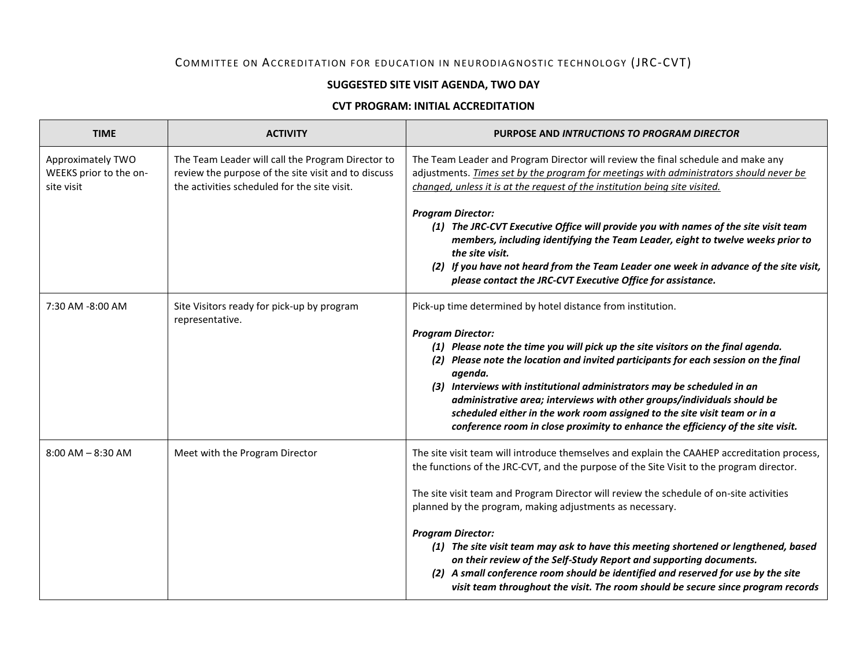## COMMITTEE ON ACCREDITATION FOR EDUCATION IN NEURODIAGNOSTIC TECHNOLOGY (JRC-CVT)

## **SUGGESTED SITE VISIT AGENDA, TWO DAY**

## **CVT PROGRAM: INITIAL ACCREDITATION**

| <b>TIME</b>                                               | <b>ACTIVITY</b>                                                                                                                                          | PURPOSE AND INTRUCTIONS TO PROGRAM DIRECTOR                                                                                                                                                                                                                                                                                                                                                                                                                                                                                                                                                                                                                                                                      |
|-----------------------------------------------------------|----------------------------------------------------------------------------------------------------------------------------------------------------------|------------------------------------------------------------------------------------------------------------------------------------------------------------------------------------------------------------------------------------------------------------------------------------------------------------------------------------------------------------------------------------------------------------------------------------------------------------------------------------------------------------------------------------------------------------------------------------------------------------------------------------------------------------------------------------------------------------------|
| Approximately TWO<br>WEEKS prior to the on-<br>site visit | The Team Leader will call the Program Director to<br>review the purpose of the site visit and to discuss<br>the activities scheduled for the site visit. | The Team Leader and Program Director will review the final schedule and make any<br>adjustments. Times set by the program for meetings with administrators should never be<br>changed, unless it is at the request of the institution being site visited.                                                                                                                                                                                                                                                                                                                                                                                                                                                        |
|                                                           |                                                                                                                                                          | <b>Program Director:</b><br>(1) The JRC-CVT Executive Office will provide you with names of the site visit team<br>members, including identifying the Team Leader, eight to twelve weeks prior to<br>the site visit.<br>(2) If you have not heard from the Team Leader one week in advance of the site visit,<br>please contact the JRC-CVT Executive Office for assistance.                                                                                                                                                                                                                                                                                                                                     |
| 7:30 AM -8:00 AM                                          | Site Visitors ready for pick-up by program<br>representative.                                                                                            | Pick-up time determined by hotel distance from institution.<br><b>Program Director:</b><br>(1) Please note the time you will pick up the site visitors on the final agenda.<br>(2) Please note the location and invited participants for each session on the final<br>agenda.<br>(3) Interviews with institutional administrators may be scheduled in an<br>administrative area; interviews with other groups/individuals should be<br>scheduled either in the work room assigned to the site visit team or in a<br>conference room in close proximity to enhance the efficiency of the site visit.                                                                                                              |
| $8:00$ AM $- 8:30$ AM                                     | Meet with the Program Director                                                                                                                           | The site visit team will introduce themselves and explain the CAAHEP accreditation process,<br>the functions of the JRC-CVT, and the purpose of the Site Visit to the program director.<br>The site visit team and Program Director will review the schedule of on-site activities<br>planned by the program, making adjustments as necessary.<br><b>Program Director:</b><br>(1) The site visit team may ask to have this meeting shortened or lengthened, based<br>on their review of the Self-Study Report and supporting documents.<br>(2) A small conference room should be identified and reserved for use by the site<br>visit team throughout the visit. The room should be secure since program records |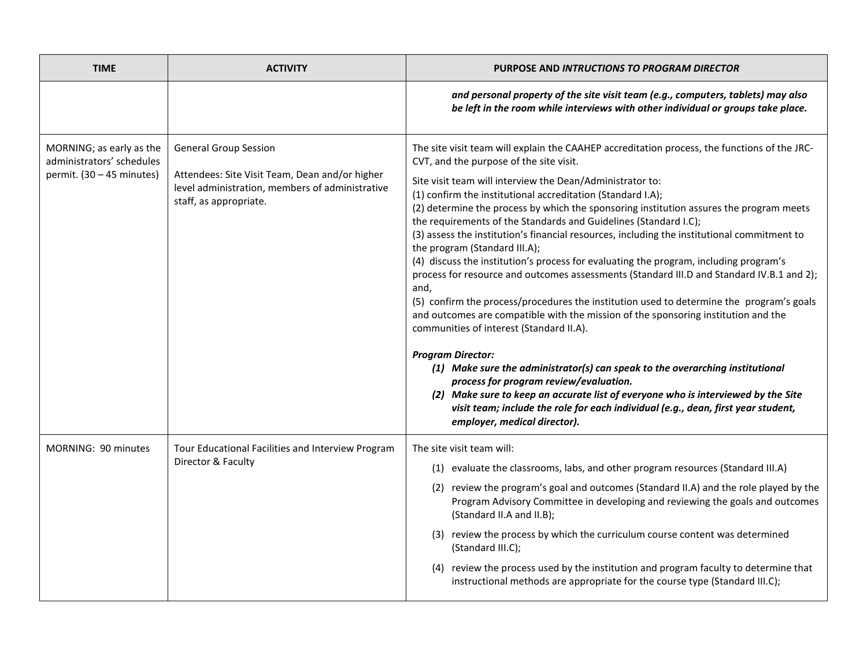| <b>TIME</b>                                                                        | <b>ACTIVITY</b>                                                                                                                                             | PURPOSE AND INTRUCTIONS TO PROGRAM DIRECTOR                                                                                                                                                                                                                                                                                                                                                                                                                                                                                                                                                                                                                                                                                                                                                                                                                                                                                                                                                                                                                                                                                                                                                                                                                                                                                                                     |
|------------------------------------------------------------------------------------|-------------------------------------------------------------------------------------------------------------------------------------------------------------|-----------------------------------------------------------------------------------------------------------------------------------------------------------------------------------------------------------------------------------------------------------------------------------------------------------------------------------------------------------------------------------------------------------------------------------------------------------------------------------------------------------------------------------------------------------------------------------------------------------------------------------------------------------------------------------------------------------------------------------------------------------------------------------------------------------------------------------------------------------------------------------------------------------------------------------------------------------------------------------------------------------------------------------------------------------------------------------------------------------------------------------------------------------------------------------------------------------------------------------------------------------------------------------------------------------------------------------------------------------------|
|                                                                                    |                                                                                                                                                             | and personal property of the site visit team (e.g., computers, tablets) may also<br>be left in the room while interviews with other individual or groups take place.                                                                                                                                                                                                                                                                                                                                                                                                                                                                                                                                                                                                                                                                                                                                                                                                                                                                                                                                                                                                                                                                                                                                                                                            |
| MORNING; as early as the<br>administrators' schedules<br>permit. (30 - 45 minutes) | <b>General Group Session</b><br>Attendees: Site Visit Team, Dean and/or higher<br>level administration, members of administrative<br>staff, as appropriate. | The site visit team will explain the CAAHEP accreditation process, the functions of the JRC-<br>CVT, and the purpose of the site visit.<br>Site visit team will interview the Dean/Administrator to:<br>(1) confirm the institutional accreditation (Standard I.A);<br>(2) determine the process by which the sponsoring institution assures the program meets<br>the requirements of the Standards and Guidelines (Standard I.C);<br>(3) assess the institution's financial resources, including the institutional commitment to<br>the program (Standard III.A);<br>(4) discuss the institution's process for evaluating the program, including program's<br>process for resource and outcomes assessments (Standard III.D and Standard IV.B.1 and 2);<br>and,<br>(5) confirm the process/procedures the institution used to determine the program's goals<br>and outcomes are compatible with the mission of the sponsoring institution and the<br>communities of interest (Standard II.A).<br><b>Program Director:</b><br>(1) Make sure the administrator(s) can speak to the overarching institutional<br>process for program review/evaluation.<br>(2) Make sure to keep an accurate list of everyone who is interviewed by the Site<br>visit team; include the role for each individual (e.g., dean, first year student,<br>employer, medical director). |
| MORNING: 90 minutes                                                                | Tour Educational Facilities and Interview Program<br>Director & Faculty                                                                                     | The site visit team will:<br>(1) evaluate the classrooms, labs, and other program resources (Standard III.A)<br>(2) review the program's goal and outcomes (Standard II.A) and the role played by the<br>Program Advisory Committee in developing and reviewing the goals and outcomes<br>(Standard II.A and II.B);<br>(3) review the process by which the curriculum course content was determined<br>(Standard III.C);<br>(4) review the process used by the institution and program faculty to determine that<br>instructional methods are appropriate for the course type (Standard III.C);                                                                                                                                                                                                                                                                                                                                                                                                                                                                                                                                                                                                                                                                                                                                                                 |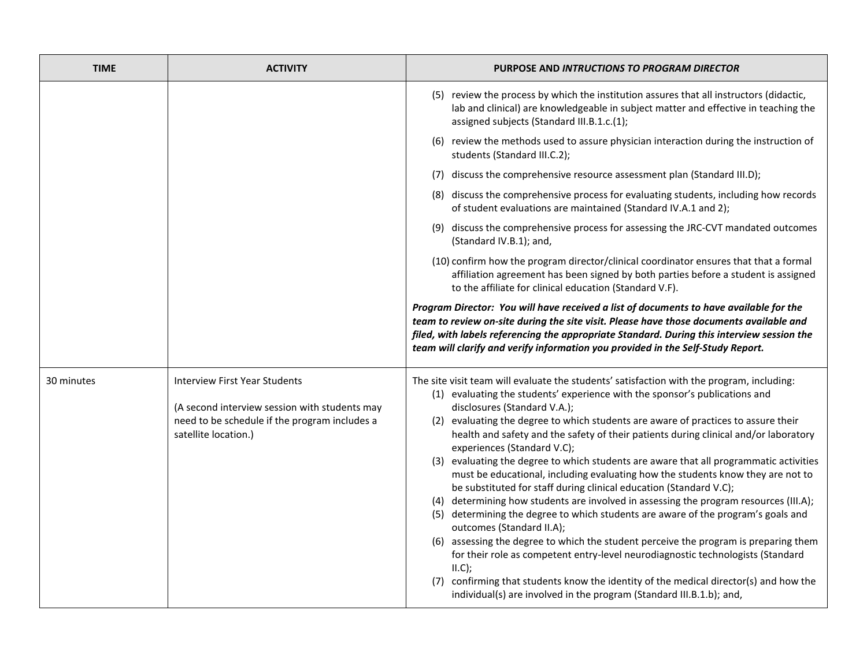| <b>TIME</b> | <b>ACTIVITY</b>                                                                                                                                                | PURPOSE AND INTRUCTIONS TO PROGRAM DIRECTOR                                                                                                                                                                                                                                                                                                                                                                                                                                                                                                                                                                                                                                                                                                                                                                                                                                                                                                                                                                                                                                                                                                                                                                                               |
|-------------|----------------------------------------------------------------------------------------------------------------------------------------------------------------|-------------------------------------------------------------------------------------------------------------------------------------------------------------------------------------------------------------------------------------------------------------------------------------------------------------------------------------------------------------------------------------------------------------------------------------------------------------------------------------------------------------------------------------------------------------------------------------------------------------------------------------------------------------------------------------------------------------------------------------------------------------------------------------------------------------------------------------------------------------------------------------------------------------------------------------------------------------------------------------------------------------------------------------------------------------------------------------------------------------------------------------------------------------------------------------------------------------------------------------------|
|             |                                                                                                                                                                | (5) review the process by which the institution assures that all instructors (didactic,<br>lab and clinical) are knowledgeable in subject matter and effective in teaching the<br>assigned subjects (Standard III.B.1.c.(1);                                                                                                                                                                                                                                                                                                                                                                                                                                                                                                                                                                                                                                                                                                                                                                                                                                                                                                                                                                                                              |
|             |                                                                                                                                                                | (6) review the methods used to assure physician interaction during the instruction of<br>students (Standard III.C.2);                                                                                                                                                                                                                                                                                                                                                                                                                                                                                                                                                                                                                                                                                                                                                                                                                                                                                                                                                                                                                                                                                                                     |
|             |                                                                                                                                                                | (7) discuss the comprehensive resource assessment plan (Standard III.D);                                                                                                                                                                                                                                                                                                                                                                                                                                                                                                                                                                                                                                                                                                                                                                                                                                                                                                                                                                                                                                                                                                                                                                  |
|             |                                                                                                                                                                | (8) discuss the comprehensive process for evaluating students, including how records<br>of student evaluations are maintained (Standard IV.A.1 and 2);                                                                                                                                                                                                                                                                                                                                                                                                                                                                                                                                                                                                                                                                                                                                                                                                                                                                                                                                                                                                                                                                                    |
|             |                                                                                                                                                                | (9) discuss the comprehensive process for assessing the JRC-CVT mandated outcomes<br>(Standard IV.B.1); and,                                                                                                                                                                                                                                                                                                                                                                                                                                                                                                                                                                                                                                                                                                                                                                                                                                                                                                                                                                                                                                                                                                                              |
|             |                                                                                                                                                                | (10) confirm how the program director/clinical coordinator ensures that that a formal<br>affiliation agreement has been signed by both parties before a student is assigned<br>to the affiliate for clinical education (Standard V.F).                                                                                                                                                                                                                                                                                                                                                                                                                                                                                                                                                                                                                                                                                                                                                                                                                                                                                                                                                                                                    |
|             |                                                                                                                                                                | Program Director: You will have received a list of documents to have available for the<br>team to review on-site during the site visit. Please have those documents available and<br>filed, with labels referencing the appropriate Standard. During this interview session the<br>team will clarify and verify information you provided in the Self-Study Report.                                                                                                                                                                                                                                                                                                                                                                                                                                                                                                                                                                                                                                                                                                                                                                                                                                                                        |
| 30 minutes  | <b>Interview First Year Students</b><br>(A second interview session with students may<br>need to be schedule if the program includes a<br>satellite location.) | The site visit team will evaluate the students' satisfaction with the program, including:<br>(1) evaluating the students' experience with the sponsor's publications and<br>disclosures (Standard V.A.);<br>(2) evaluating the degree to which students are aware of practices to assure their<br>health and safety and the safety of their patients during clinical and/or laboratory<br>experiences (Standard V.C);<br>(3) evaluating the degree to which students are aware that all programmatic activities<br>must be educational, including evaluating how the students know they are not to<br>be substituted for staff during clinical education (Standard V.C);<br>(4) determining how students are involved in assessing the program resources (III.A);<br>(5) determining the degree to which students are aware of the program's goals and<br>outcomes (Standard II.A);<br>(6) assessing the degree to which the student perceive the program is preparing them<br>for their role as competent entry-level neurodiagnostic technologists (Standard<br>II.C);<br>(7) confirming that students know the identity of the medical director(s) and how the<br>individual(s) are involved in the program (Standard III.B.1.b); and, |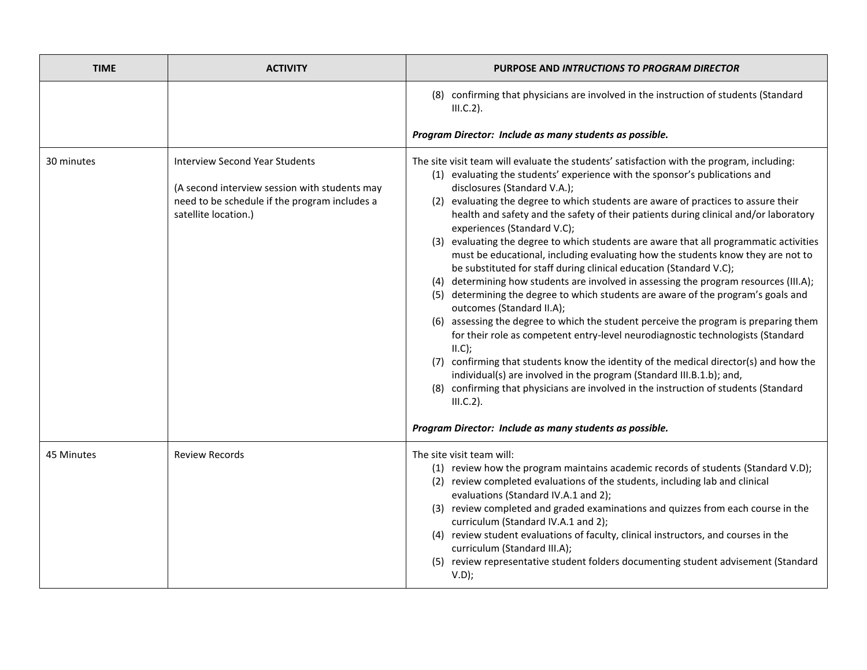| <b>TIME</b> | <b>ACTIVITY</b>                                                                                                                                                 | <b>PURPOSE AND INTRUCTIONS TO PROGRAM DIRECTOR</b>                                                                                                                                                                                                                                                                                                                                                                                                                                                                                                                                                                                                                                                                                                                                                                                                                                                                                                                                                                                                                                                                                                                                                                                                                                                                                                |
|-------------|-----------------------------------------------------------------------------------------------------------------------------------------------------------------|---------------------------------------------------------------------------------------------------------------------------------------------------------------------------------------------------------------------------------------------------------------------------------------------------------------------------------------------------------------------------------------------------------------------------------------------------------------------------------------------------------------------------------------------------------------------------------------------------------------------------------------------------------------------------------------------------------------------------------------------------------------------------------------------------------------------------------------------------------------------------------------------------------------------------------------------------------------------------------------------------------------------------------------------------------------------------------------------------------------------------------------------------------------------------------------------------------------------------------------------------------------------------------------------------------------------------------------------------|
|             |                                                                                                                                                                 | (8) confirming that physicians are involved in the instruction of students (Standard<br>$III.C.2$ ).<br>Program Director: Include as many students as possible.                                                                                                                                                                                                                                                                                                                                                                                                                                                                                                                                                                                                                                                                                                                                                                                                                                                                                                                                                                                                                                                                                                                                                                                   |
| 30 minutes  | <b>Interview Second Year Students</b><br>(A second interview session with students may<br>need to be schedule if the program includes a<br>satellite location.) | The site visit team will evaluate the students' satisfaction with the program, including:<br>(1) evaluating the students' experience with the sponsor's publications and<br>disclosures (Standard V.A.);<br>(2) evaluating the degree to which students are aware of practices to assure their<br>health and safety and the safety of their patients during clinical and/or laboratory<br>experiences (Standard V.C);<br>(3) evaluating the degree to which students are aware that all programmatic activities<br>must be educational, including evaluating how the students know they are not to<br>be substituted for staff during clinical education (Standard V.C);<br>(4) determining how students are involved in assessing the program resources (III.A);<br>(5) determining the degree to which students are aware of the program's goals and<br>outcomes (Standard II.A);<br>(6) assessing the degree to which the student perceive the program is preparing them<br>for their role as competent entry-level neurodiagnostic technologists (Standard<br>II.C);<br>(7) confirming that students know the identity of the medical director(s) and how the<br>individual(s) are involved in the program (Standard III.B.1.b); and,<br>(8) confirming that physicians are involved in the instruction of students (Standard<br>$III.C.2$ ). |
|             |                                                                                                                                                                 | Program Director: Include as many students as possible.                                                                                                                                                                                                                                                                                                                                                                                                                                                                                                                                                                                                                                                                                                                                                                                                                                                                                                                                                                                                                                                                                                                                                                                                                                                                                           |
| 45 Minutes  | <b>Review Records</b>                                                                                                                                           | The site visit team will:<br>(1) review how the program maintains academic records of students (Standard V.D);<br>(2) review completed evaluations of the students, including lab and clinical<br>evaluations (Standard IV.A.1 and 2);<br>(3) review completed and graded examinations and quizzes from each course in the<br>curriculum (Standard IV.A.1 and 2);<br>(4) review student evaluations of faculty, clinical instructors, and courses in the<br>curriculum (Standard III.A);<br>(5) review representative student folders documenting student advisement (Standard<br>V.D);                                                                                                                                                                                                                                                                                                                                                                                                                                                                                                                                                                                                                                                                                                                                                           |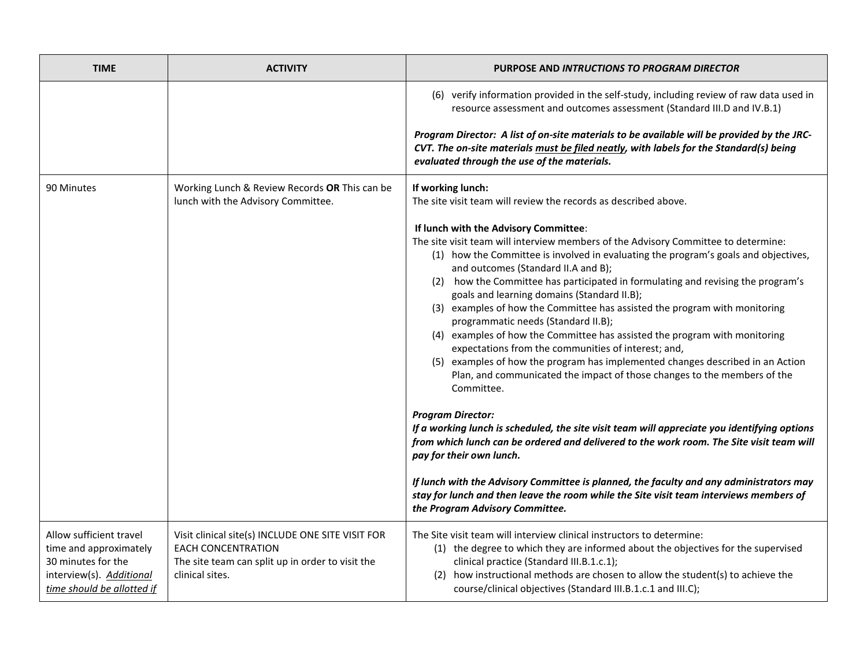| <b>TIME</b>                                                                                                                       | <b>ACTIVITY</b>                                                                                                                                       | <b>PURPOSE AND INTRUCTIONS TO PROGRAM DIRECTOR</b>                                                                                                                                                                                                                                                                                                                                                                                                                                                                                                                                                                                                                                                                                                                                                                                                                                                                                                                                                                                                                                                                                                                                                                                                                                                             |
|-----------------------------------------------------------------------------------------------------------------------------------|-------------------------------------------------------------------------------------------------------------------------------------------------------|----------------------------------------------------------------------------------------------------------------------------------------------------------------------------------------------------------------------------------------------------------------------------------------------------------------------------------------------------------------------------------------------------------------------------------------------------------------------------------------------------------------------------------------------------------------------------------------------------------------------------------------------------------------------------------------------------------------------------------------------------------------------------------------------------------------------------------------------------------------------------------------------------------------------------------------------------------------------------------------------------------------------------------------------------------------------------------------------------------------------------------------------------------------------------------------------------------------------------------------------------------------------------------------------------------------|
|                                                                                                                                   |                                                                                                                                                       | (6) verify information provided in the self-study, including review of raw data used in<br>resource assessment and outcomes assessment (Standard III.D and IV.B.1)                                                                                                                                                                                                                                                                                                                                                                                                                                                                                                                                                                                                                                                                                                                                                                                                                                                                                                                                                                                                                                                                                                                                             |
|                                                                                                                                   |                                                                                                                                                       | Program Director: A list of on-site materials to be available will be provided by the JRC-<br>CVT. The on-site materials must be filed neatly, with labels for the Standard(s) being<br>evaluated through the use of the materials.                                                                                                                                                                                                                                                                                                                                                                                                                                                                                                                                                                                                                                                                                                                                                                                                                                                                                                                                                                                                                                                                            |
| 90 Minutes                                                                                                                        | Working Lunch & Review Records OR This can be<br>lunch with the Advisory Committee.                                                                   | If working lunch:<br>The site visit team will review the records as described above.                                                                                                                                                                                                                                                                                                                                                                                                                                                                                                                                                                                                                                                                                                                                                                                                                                                                                                                                                                                                                                                                                                                                                                                                                           |
|                                                                                                                                   |                                                                                                                                                       | If lunch with the Advisory Committee:<br>The site visit team will interview members of the Advisory Committee to determine:<br>(1) how the Committee is involved in evaluating the program's goals and objectives,<br>and outcomes (Standard II.A and B);<br>(2) how the Committee has participated in formulating and revising the program's<br>goals and learning domains (Standard II.B);<br>(3) examples of how the Committee has assisted the program with monitoring<br>programmatic needs (Standard II.B);<br>(4) examples of how the Committee has assisted the program with monitoring<br>expectations from the communities of interest; and,<br>(5) examples of how the program has implemented changes described in an Action<br>Plan, and communicated the impact of those changes to the members of the<br>Committee.<br><b>Program Director:</b><br>If a working lunch is scheduled, the site visit team will appreciate you identifying options<br>from which lunch can be ordered and delivered to the work room. The Site visit team will<br>pay for their own lunch.<br>If lunch with the Advisory Committee is planned, the faculty and any administrators may<br>stay for lunch and then leave the room while the Site visit team interviews members of<br>the Program Advisory Committee. |
| Allow sufficient travel<br>time and approximately<br>30 minutes for the<br>interview(s). Additional<br>time should be allotted if | Visit clinical site(s) INCLUDE ONE SITE VISIT FOR<br><b>EACH CONCENTRATION</b><br>The site team can split up in order to visit the<br>clinical sites. | The Site visit team will interview clinical instructors to determine:<br>(1) the degree to which they are informed about the objectives for the supervised<br>clinical practice (Standard III.B.1.c.1);<br>(2) how instructional methods are chosen to allow the student(s) to achieve the<br>course/clinical objectives (Standard III.B.1.c.1 and III.C);                                                                                                                                                                                                                                                                                                                                                                                                                                                                                                                                                                                                                                                                                                                                                                                                                                                                                                                                                     |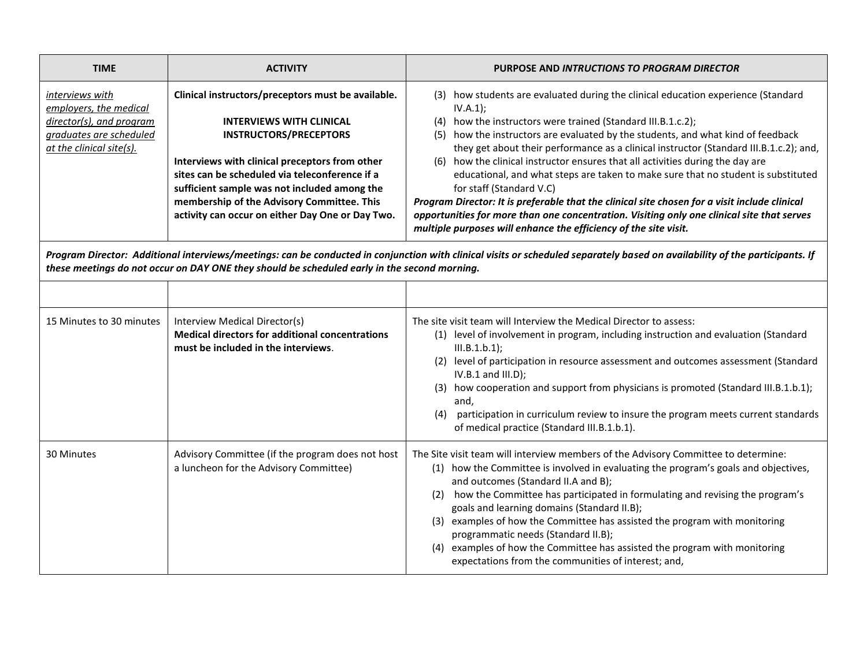| <b>TIME</b>                                                                                                                                                                                                                                                                  | <b>ACTIVITY</b>                                                                                                                                                                                                                                                                                                                                                              | PURPOSE AND INTRUCTIONS TO PROGRAM DIRECTOR                                                                                                                                                                                                                                                                                                                                                                                                                                                                                                                                                                                                                                                                                                                                                                          |
|------------------------------------------------------------------------------------------------------------------------------------------------------------------------------------------------------------------------------------------------------------------------------|------------------------------------------------------------------------------------------------------------------------------------------------------------------------------------------------------------------------------------------------------------------------------------------------------------------------------------------------------------------------------|----------------------------------------------------------------------------------------------------------------------------------------------------------------------------------------------------------------------------------------------------------------------------------------------------------------------------------------------------------------------------------------------------------------------------------------------------------------------------------------------------------------------------------------------------------------------------------------------------------------------------------------------------------------------------------------------------------------------------------------------------------------------------------------------------------------------|
| interviews with<br>employers, the medical<br>director(s), and program<br>graduates are scheduled<br>at the clinical site(s).                                                                                                                                                 | Clinical instructors/preceptors must be available.<br><b>INTERVIEWS WITH CLINICAL</b><br><b>INSTRUCTORS/PRECEPTORS</b><br>Interviews with clinical preceptors from other<br>sites can be scheduled via teleconference if a<br>sufficient sample was not included among the<br>membership of the Advisory Committee. This<br>activity can occur on either Day One or Day Two. | (3) how students are evaluated during the clinical education experience (Standard<br>IV.A.1);<br>(4) how the instructors were trained (Standard III.B.1.c.2);<br>(5) how the instructors are evaluated by the students, and what kind of feedback<br>they get about their performance as a clinical instructor (Standard III.B.1.c.2); and,<br>how the clinical instructor ensures that all activities during the day are<br>(6)<br>educational, and what steps are taken to make sure that no student is substituted<br>for staff (Standard V.C)<br>Program Director: It is preferable that the clinical site chosen for a visit include clinical<br>opportunities for more than one concentration. Visiting only one clinical site that serves<br>multiple purposes will enhance the efficiency of the site visit. |
| Program Director: Additional interviews/meetings: can be conducted in conjunction with clinical visits or scheduled separately based on availability of the participants. If<br>these meetings do not occur on DAY ONE they should be scheduled early in the second morning. |                                                                                                                                                                                                                                                                                                                                                                              |                                                                                                                                                                                                                                                                                                                                                                                                                                                                                                                                                                                                                                                                                                                                                                                                                      |
|                                                                                                                                                                                                                                                                              |                                                                                                                                                                                                                                                                                                                                                                              |                                                                                                                                                                                                                                                                                                                                                                                                                                                                                                                                                                                                                                                                                                                                                                                                                      |
| 15 Minutes to 30 minutes                                                                                                                                                                                                                                                     | Interview Medical Director(s)<br><b>Medical directors for additional concentrations</b><br>must be included in the interviews.                                                                                                                                                                                                                                               | The site visit team will Interview the Medical Director to assess:<br>(1) level of involvement in program, including instruction and evaluation (Standard<br>III.B.1.b.1);<br>(2) level of participation in resource assessment and outcomes assessment (Standard<br>$IV.B.1$ and $III.D$ );<br>(3) how cooperation and support from physicians is promoted (Standard III.B.1.b.1);<br>and,<br>participation in curriculum review to insure the program meets current standards<br>(4)<br>of medical practice (Standard III.B.1.b.1).                                                                                                                                                                                                                                                                                |
| 30 Minutes                                                                                                                                                                                                                                                                   | Advisory Committee (if the program does not host<br>a luncheon for the Advisory Committee)                                                                                                                                                                                                                                                                                   | The Site visit team will interview members of the Advisory Committee to determine:<br>(1) how the Committee is involved in evaluating the program's goals and objectives,<br>and outcomes (Standard II.A and B);<br>how the Committee has participated in formulating and revising the program's<br>(2)<br>goals and learning domains (Standard II.B);<br>(3) examples of how the Committee has assisted the program with monitoring<br>programmatic needs (Standard II.B);<br>(4) examples of how the Committee has assisted the program with monitoring<br>expectations from the communities of interest; and,                                                                                                                                                                                                     |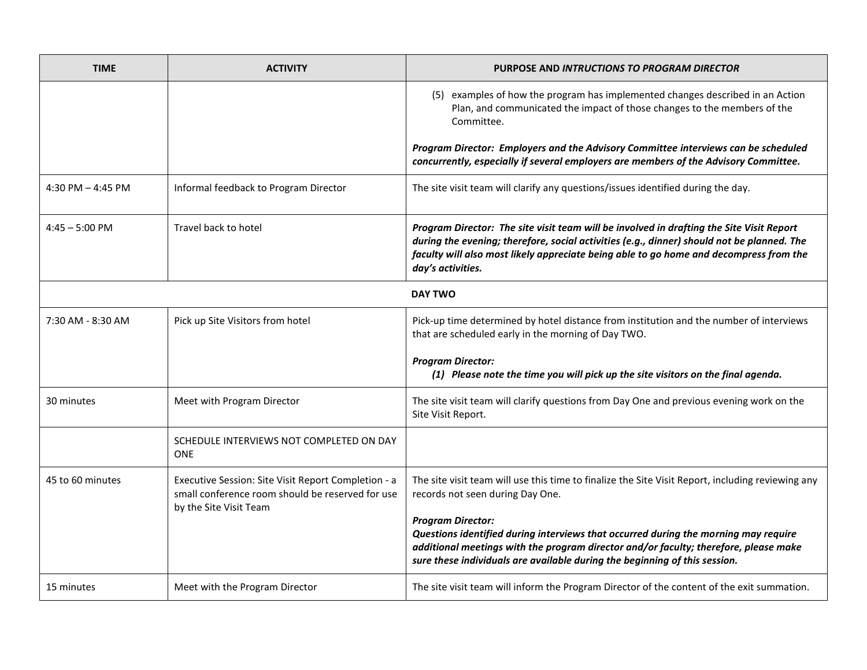| <b>TIME</b>              | <b>ACTIVITY</b>                                                                                                                   | PURPOSE AND INTRUCTIONS TO PROGRAM DIRECTOR                                                                                                                                                                                                                                                           |
|--------------------------|-----------------------------------------------------------------------------------------------------------------------------------|-------------------------------------------------------------------------------------------------------------------------------------------------------------------------------------------------------------------------------------------------------------------------------------------------------|
|                          |                                                                                                                                   | (5) examples of how the program has implemented changes described in an Action<br>Plan, and communicated the impact of those changes to the members of the<br>Committee.                                                                                                                              |
|                          |                                                                                                                                   | Program Director: Employers and the Advisory Committee interviews can be scheduled<br>concurrently, especially if several employers are members of the Advisory Committee.                                                                                                                            |
| 4:30 PM $-$ 4:45 PM      | Informal feedback to Program Director                                                                                             | The site visit team will clarify any questions/issues identified during the day.                                                                                                                                                                                                                      |
| $4:45 - 5:00 \text{ PM}$ | Travel back to hotel                                                                                                              | Program Director: The site visit team will be involved in drafting the Site Visit Report<br>during the evening; therefore, social activities (e.g., dinner) should not be planned. The<br>faculty will also most likely appreciate being able to go home and decompress from the<br>day's activities. |
|                          |                                                                                                                                   | <b>DAY TWO</b>                                                                                                                                                                                                                                                                                        |
| 7:30 AM - 8:30 AM        | Pick up Site Visitors from hotel                                                                                                  | Pick-up time determined by hotel distance from institution and the number of interviews<br>that are scheduled early in the morning of Day TWO.                                                                                                                                                        |
|                          |                                                                                                                                   | <b>Program Director:</b><br>(1) Please note the time you will pick up the site visitors on the final agenda.                                                                                                                                                                                          |
| 30 minutes               | Meet with Program Director                                                                                                        | The site visit team will clarify questions from Day One and previous evening work on the<br>Site Visit Report.                                                                                                                                                                                        |
|                          | SCHEDULE INTERVIEWS NOT COMPLETED ON DAY<br><b>ONE</b>                                                                            |                                                                                                                                                                                                                                                                                                       |
| 45 to 60 minutes         | Executive Session: Site Visit Report Completion - a<br>small conference room should be reserved for use<br>by the Site Visit Team | The site visit team will use this time to finalize the Site Visit Report, including reviewing any<br>records not seen during Day One.                                                                                                                                                                 |
|                          |                                                                                                                                   | <b>Program Director:</b><br>Questions identified during interviews that occurred during the morning may require<br>additional meetings with the program director and/or faculty; therefore, please make<br>sure these individuals are available during the beginning of this session.                 |
| 15 minutes               | Meet with the Program Director                                                                                                    | The site visit team will inform the Program Director of the content of the exit summation.                                                                                                                                                                                                            |